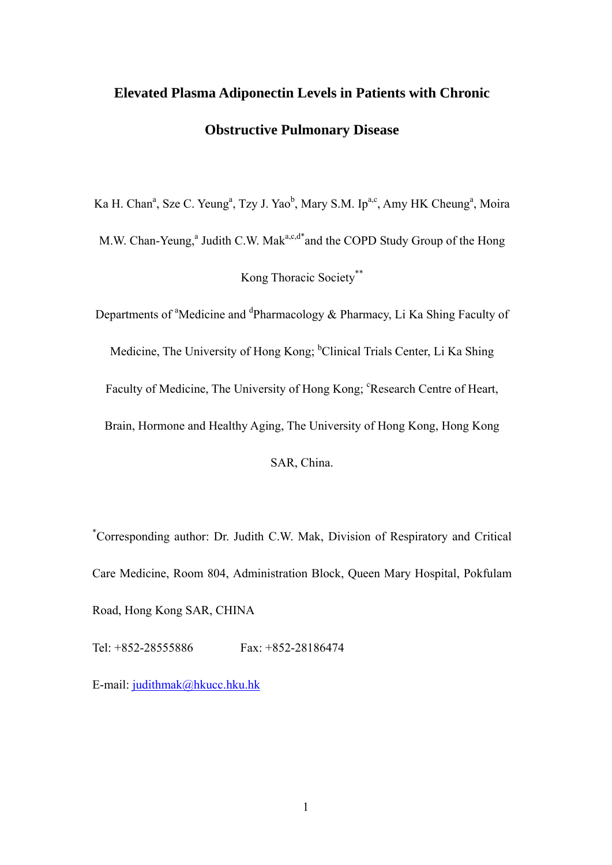# **Elevated Plasma Adiponectin Levels in Patients with Chronic Obstructive Pulmonary Disease**

Ka H. Chan<sup>a</sup>, Sze C. Yeung<sup>a</sup>, Tzy J. Yao<sup>b</sup>, Mary S.M. Ip<sup>a,c</sup>, Amy HK Cheung<sup>a</sup>, Moira M.W. Chan-Yeung,<sup>a</sup> Judith C.W. Mak<sup>a,c,d\*</sup>and the COPD Study Group of the Hong Kong Thoracic Society\*\*

Departments of <sup>a</sup>Medicine and <sup>d</sup>Pharmacology & Pharmacy, Li Ka Shing Faculty of Medicine, The University of Hong Kong; <sup>b</sup>Clinical Trials Center, Li Ka Shing Faculty of Medicine, The University of Hong Kong; <sup>c</sup>Research Centre of Heart, Brain, Hormone and Healthy Aging, The University of Hong Kong, Hong Kong SAR, China.

\* Corresponding author: Dr. Judith C.W. Mak, Division of Respiratory and Critical Care Medicine, Room 804, Administration Block, Queen Mary Hospital, Pokfulam Road, Hong Kong SAR, CHINA

Tel: +852-28555886 Fax: +852-28186474

E-mail: [judithmak@hkucc.hku.hk](mailto:judithmak@hkucc.hku.hk)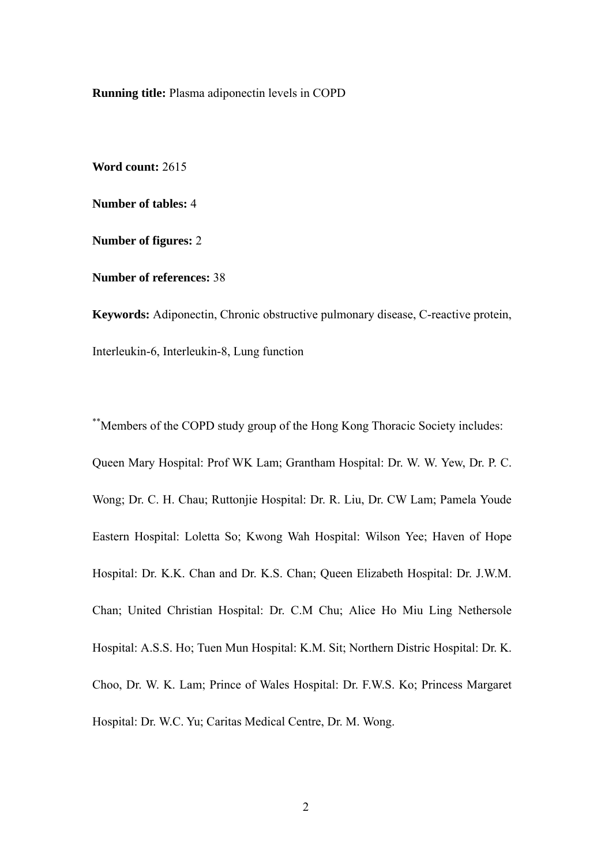**Running title:** Plasma adiponectin levels in COPD

**Word count:** 2615

**Number of tables:** 4

**Number of figures:** 2

**Number of references:** 38

**Keywords:** Adiponectin, Chronic obstructive pulmonary disease, C-reactive protein, Interleukin-6, Interleukin-8, Lung function

\*\*Members of the COPD study group of the Hong Kong Thoracic Society includes: Queen Mary Hospital: Prof WK Lam; Grantham Hospital: Dr. W. W. Yew, Dr. P. C. Wong; Dr. C. H. Chau; Ruttonjie Hospital: Dr. R. Liu, Dr. CW Lam; Pamela Youde Eastern Hospital: Loletta So; Kwong Wah Hospital: Wilson Yee; Haven of Hope Hospital: Dr. K.K. Chan and Dr. K.S. Chan; Queen Elizabeth Hospital: Dr. J.W.M. Chan; United Christian Hospital: Dr. C.M Chu; Alice Ho Miu Ling Nethersole Hospital: A.S.S. Ho; Tuen Mun Hospital: K.M. Sit; Northern Distric Hospital: Dr. K. Choo, Dr. W. K. Lam; Prince of Wales Hospital: Dr. F.W.S. Ko; Princess Margaret Hospital: Dr. W.C. Yu; Caritas Medical Centre, Dr. M. Wong.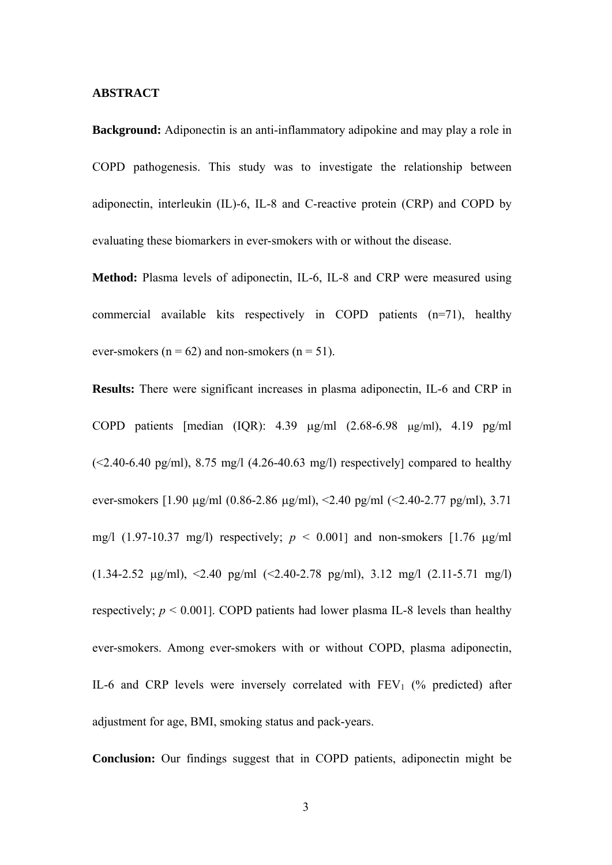#### **ABSTRACT**

**Background:** Adiponectin is an anti-inflammatory adipokine and may play a role in COPD pathogenesis. This study was to investigate the relationship between adiponectin, interleukin (IL)-6, IL-8 and C-reactive protein (CRP) and COPD by evaluating these biomarkers in ever-smokers with or without the disease.

**Method:** Plasma levels of adiponectin, IL-6, IL-8 and CRP were measured using commercial available kits respectively in COPD patients (n=71), healthy ever-smokers ( $n = 62$ ) and non-smokers ( $n = 51$ ).

**Results:** There were significant increases in plasma adiponectin, IL-6 and CRP in COPD patients [median (IQR): 4.39 μg/ml (2.68-6.98 μg/ml), 4.19 pg/ml  $(\leq 2.40 - 6.40 \text{ pg/ml})$ , 8.75 mg/l  $(4.26 - 40.63 \text{ mg/l})$  respectively compared to healthy ever-smokers  $[1.90 \mu g/ml$   $(0.86-2.86 \mu g/ml)$ ,  $\leq 2.40 \mu g/ml$   $(\leq 2.40-2.77 \mu g/ml)$ ,  $3.71$ mg/l (1.97-10.37 mg/l) respectively;  $p < 0.001$ ] and non-smokers [1.76  $\mu$ g/ml]  $(1.34-2.52 \text{ µg/ml})$ ,  $\leq$  2.40 pg/ml  $(\leq$ 2.40-2.78 pg/ml), 3.12 mg/l  $(2.11-5.71 \text{ mg/l})$ respectively;  $p \le 0.001$ ]. COPD patients had lower plasma IL-8 levels than healthy ever-smokers. Among ever-smokers with or without COPD, plasma adiponectin, IL-6 and CRP levels were inversely correlated with  $FEV<sub>1</sub>$  (% predicted) after adjustment for age, BMI, smoking status and pack-years.

**Conclusion:** Our findings suggest that in COPD patients, adiponectin might be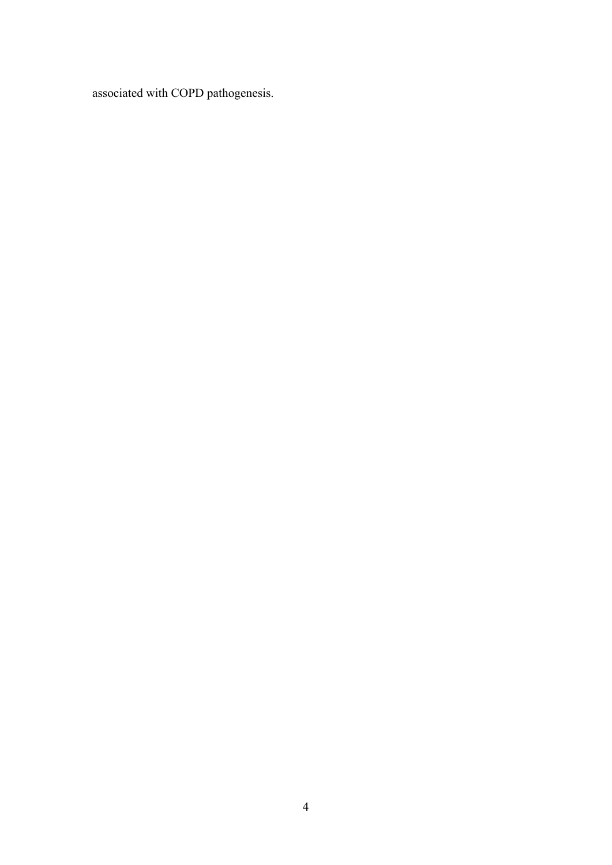associated with COPD pathogenesis.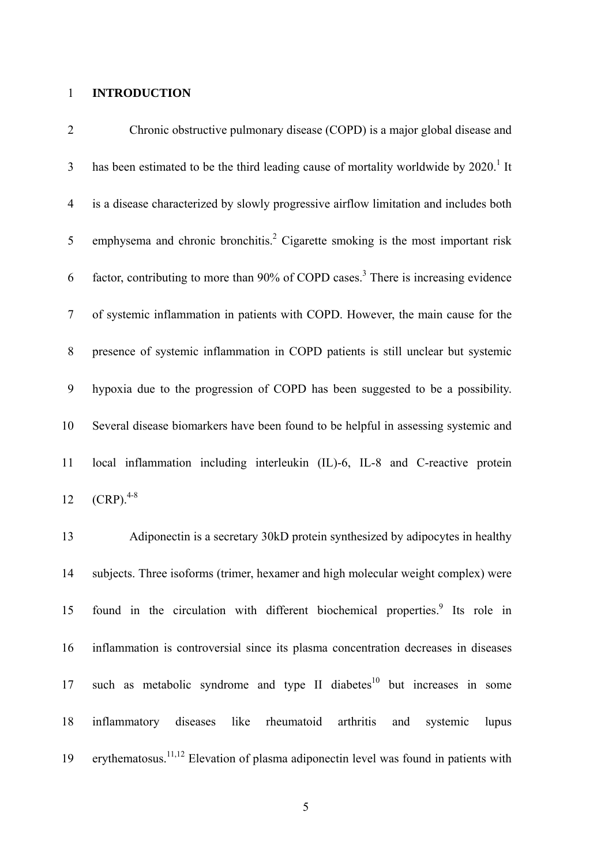### 1 **INTRODUCTION**

| $\overline{2}$ | Chronic obstructive pulmonary disease (COPD) is a major global disease and                       |
|----------------|--------------------------------------------------------------------------------------------------|
| $\overline{3}$ | has been estimated to be the third leading cause of mortality worldwide by 2020. <sup>1</sup> It |
| $\overline{4}$ | is a disease characterized by slowly progressive airflow limitation and includes both            |
| 5              | emphysema and chronic bronchitis. <sup>2</sup> Cigarette smoking is the most important risk      |
| 6              | factor, contributing to more than 90% of COPD cases. <sup>3</sup> There is increasing evidence   |
| $\tau$         | of systemic inflammation in patients with COPD. However, the main cause for the                  |
| 8              | presence of systemic inflammation in COPD patients is still unclear but systemic                 |
| 9              | hypoxia due to the progression of COPD has been suggested to be a possibility.                   |
| 10             | Several disease biomarkers have been found to be helpful in assessing systemic and               |
| 11             | local inflammation including interleukin (IL)-6, IL-8 and C-reactive protein                     |
| 12             | $(CRP).^{4-8}$                                                                                   |
|                |                                                                                                  |

13 14 15 16 17 18 19 Adiponectin is a secretary 30kD protein synthesized by adipocytes in healthy subjects. Three isoforms (trimer, hexamer and high molecular weight complex) were found in the circulation with different biochemical properties.<sup>9</sup> Its role in inflammation is controversial since its plasma concentration decreases in diseases such as metabolic syndrome and type II diabetes $10$  but increases in some inflammatory diseases like rheumatoid arthritis and systemic lupus erythematosus.11,12 Elevation of plasma adiponectin level was found in patients with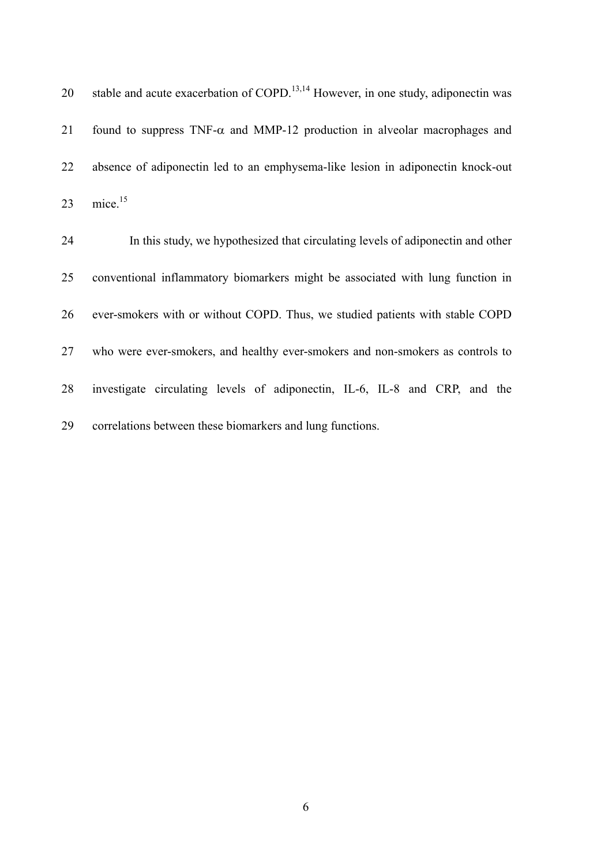| 20 | stable and acute exacerbation of COPD. <sup>13,14</sup> However, in one study, adiponectin was |
|----|------------------------------------------------------------------------------------------------|
| 21 | found to suppress $TNF-\alpha$ and MMP-12 production in alveolar macrophages and               |
| 22 | absence of adiponectin led to an emphysema-like lesion in adiponectin knock-out                |
| 23 | mice. <sup>15</sup>                                                                            |
| 24 | In this study, we hypothesized that circulating levels of adiponectin and other                |
| 25 | conventional inflammatory biomarkers might be associated with lung function in                 |
| 26 | ever-smokers with or without COPD. Thus, we studied patients with stable COPD                  |
| 27 | who were ever-smokers, and healthy ever-smokers and non-smokers as controls to                 |
| 28 | investigate circulating levels of adiponectin, IL-6, IL-8 and CRP, and the                     |
| 29 | correlations between these biomarkers and lung functions.                                      |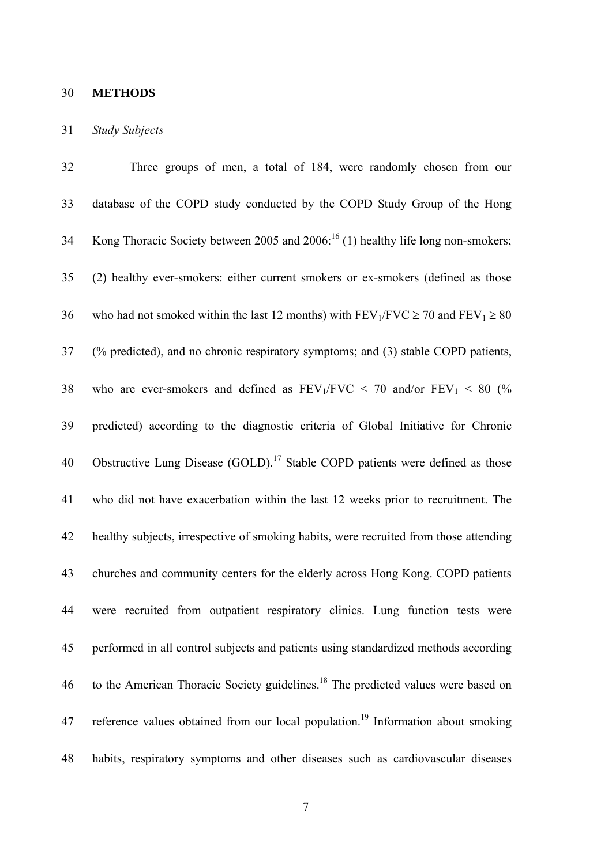# 30 **METHODS**

#### 31 *Study Subjects*

| 32 | Three groups of men, a total of 184, were randomly chosen from our                               |
|----|--------------------------------------------------------------------------------------------------|
| 33 | database of the COPD study conducted by the COPD Study Group of the Hong                         |
| 34 | Kong Thoracic Society between 2005 and $2006$ : <sup>16</sup> (1) healthy life long non-smokers; |
| 35 | (2) healthy ever-smokers: either current smokers or ex-smokers (defined as those                 |
| 36 | who had not smoked within the last 12 months) with $FEV_1/FVC \ge 70$ and $FEV_1 \ge 80$         |
| 37 | (% predicted), and no chronic respiratory symptoms; and (3) stable COPD patients,                |
| 38 | who are ever-smokers and defined as $FEV_1/FVC < 70$ and/or $FEV_1 < 80$ (%                      |
| 39 | predicted) according to the diagnostic criteria of Global Initiative for Chronic                 |
| 40 | Obstructive Lung Disease (GOLD). <sup>17</sup> Stable COPD patients were defined as those        |
| 41 | who did not have exacerbation within the last 12 weeks prior to recruitment. The                 |
| 42 | healthy subjects, irrespective of smoking habits, were recruited from those attending            |
| 43 | churches and community centers for the elderly across Hong Kong. COPD patients                   |
| 44 | were recruited from outpatient respiratory clinics. Lung function tests were                     |
| 45 | performed in all control subjects and patients using standardized methods according              |
| 46 | to the American Thoracic Society guidelines. <sup>18</sup> The predicted values were based on    |
| 47 | reference values obtained from our local population. <sup>19</sup> Information about smoking     |
| 48 | habits, respiratory symptoms and other diseases such as cardiovascular diseases                  |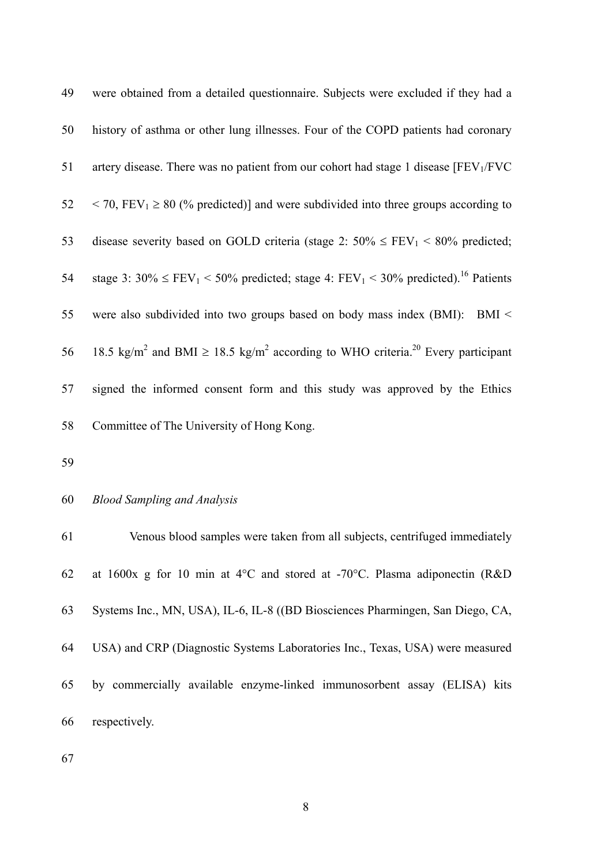| 49 | were obtained from a detailed questionnaire. Subjects were excluded if they had a                                       |
|----|-------------------------------------------------------------------------------------------------------------------------|
| 50 | history of asthma or other lung illnesses. Four of the COPD patients had coronary                                       |
| 51 | artery disease. There was no patient from our cohort had stage 1 disease $[FEV1/FVC]$                                   |
| 52 | $\langle 70, FEV_1 \rangle \geq 80$ (% predicted)] and were subdivided into three groups according to                   |
| 53 | disease severity based on GOLD criteria (stage 2: $50\% \le FEV_1 \le 80\%$ predicted;                                  |
| 54 | stage 3: $30\% \le FEV_1 \le 50\%$ predicted; stage 4: $FEV_1 \le 30\%$ predicted). <sup>16</sup> Patients              |
| 55 | were also subdivided into two groups based on body mass index (BMI): BMI <                                              |
| 56 | 18.5 kg/m <sup>2</sup> and BMI $\geq$ 18.5 kg/m <sup>2</sup> according to WHO criteria. <sup>20</sup> Every participant |
| 57 | signed the informed consent form and this study was approved by the Ethics                                              |
| 58 | Committee of The University of Hong Kong.                                                                               |

59

#### 60 *Blood Sampling and Analysis*

61 62 63 64 65 66 Venous blood samples were taken from all subjects, centrifuged immediately at 1600x g for 10 min at 4°C and stored at -70°C. Plasma adiponectin (R&D Systems Inc., MN, USA), IL-6, IL-8 ((BD Biosciences Pharmingen, San Diego, CA, USA) and CRP (Diagnostic Systems Laboratories Inc., Texas, USA) were measured by commercially available enzyme-linked immunosorbent assay (ELISA) kits respectively.

67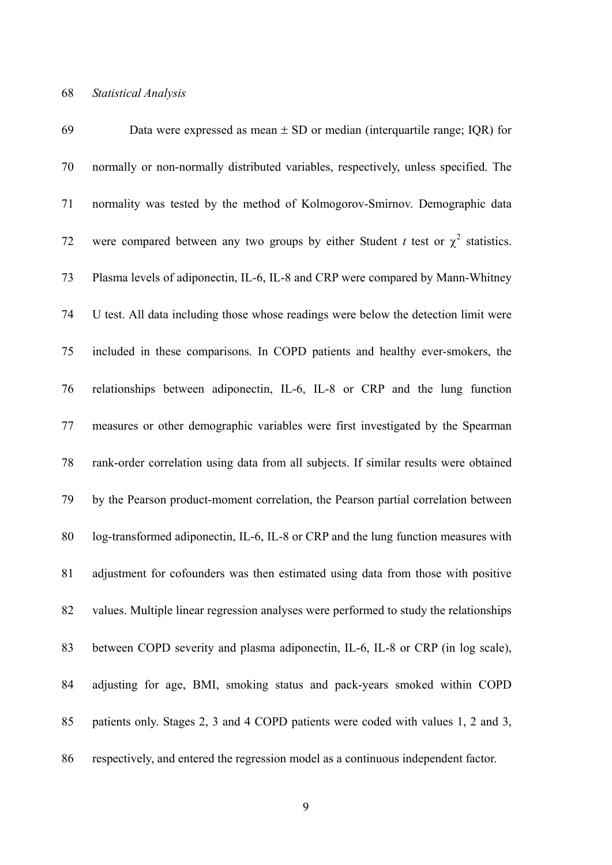| 69 | Data were expressed as mean $\pm$ SD or median (interquartile range; IQR) for         |
|----|---------------------------------------------------------------------------------------|
| 70 | normally or non-normally distributed variables, respectively, unless specified. The   |
| 71 | normality was tested by the method of Kolmogorov-Smirnov. Demographic data            |
| 72 | were compared between any two groups by either Student t test or $\chi^2$ statistics. |
| 73 | Plasma levels of adiponectin, IL-6, IL-8 and CRP were compared by Mann-Whitney        |
| 74 | U test. All data including those whose readings were below the detection limit were   |
| 75 | included in these comparisons. In COPD patients and healthy ever-smokers, the         |
| 76 | relationships between adiponectin, IL-6, IL-8 or CRP and the lung function            |
| 77 | measures or other demographic variables were first investigated by the Spearman       |
| 78 | rank-order correlation using data from all subjects. If similar results were obtained |
| 79 | by the Pearson product-moment correlation, the Pearson partial correlation between    |
| 80 | log-transformed adiponectin, IL-6, IL-8 or CRP and the lung function measures with    |
| 81 | adjustment for cofounders was then estimated using data from those with positive      |
| 82 | values. Multiple linear regression analyses were performed to study the relationships |
| 83 | between COPD severity and plasma adiponectin, IL-6, IL-8 or CRP (in log scale),       |
| 84 | adjusting for age, BMI, smoking status and pack-years smoked within COPD              |
| 85 | patients only. Stages 2, 3 and 4 COPD patients were coded with values 1, 2 and 3,     |
| 86 | respectively, and entered the regression model as a continuous independent factor.    |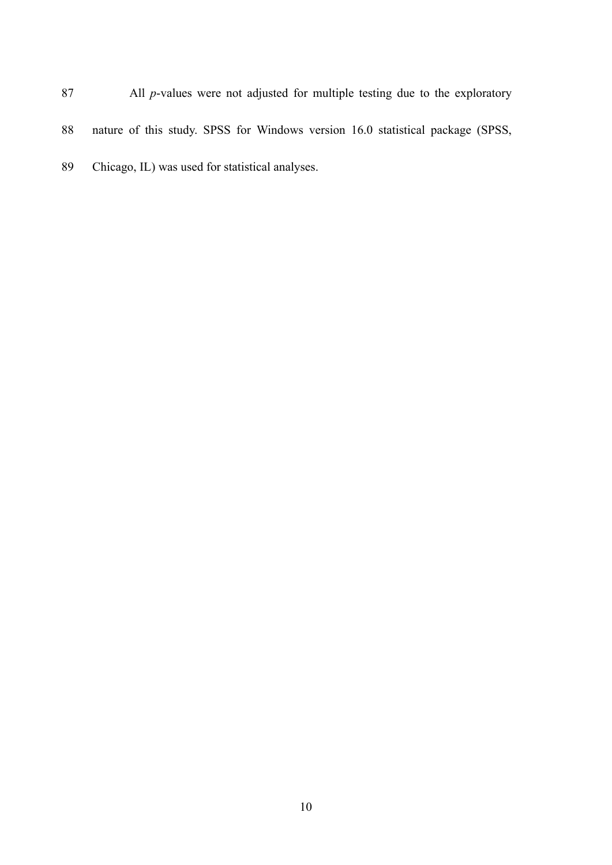| 87 | All <i>p</i> -values were not adjusted for multiple testing due to the exploratory |
|----|------------------------------------------------------------------------------------|
| 88 | nature of this study. SPSS for Windows version 16.0 statistical package (SPSS,     |
| 89 | Chicago, IL) was used for statistical analyses.                                    |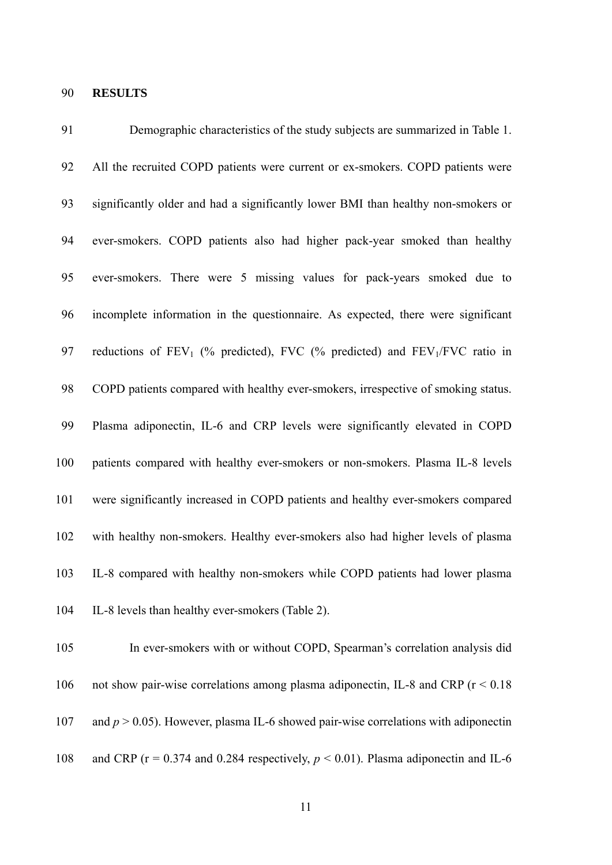# 90 **RESULTS**

107

| 91  | Demographic characteristics of the study subjects are summarized in Table 1.          |
|-----|---------------------------------------------------------------------------------------|
| 92  | All the recruited COPD patients were current or ex-smokers. COPD patients were        |
| 93  | significantly older and had a significantly lower BMI than healthy non-smokers or     |
| 94  | ever-smokers. COPD patients also had higher pack-year smoked than healthy             |
| 95  | ever-smokers. There were 5 missing values for pack-years smoked due to                |
| 96  | incomplete information in the questionnaire. As expected, there were significant      |
| 97  | reductions of $FEV_1$ (% predicted), FVC (% predicted) and $FEV_1/FVC$ ratio in       |
| 98  | COPD patients compared with healthy ever-smokers, irrespective of smoking status.     |
| 99  | Plasma adiponectin, IL-6 and CRP levels were significantly elevated in COPD           |
| 100 | patients compared with healthy ever-smokers or non-smokers. Plasma IL-8 levels        |
| 101 | were significantly increased in COPD patients and healthy ever-smokers compared       |
| 102 | with healthy non-smokers. Healthy ever-smokers also had higher levels of plasma       |
| 103 | IL-8 compared with healthy non-smokers while COPD patients had lower plasma           |
| 104 | IL-8 levels than healthy ever-smokers (Table 2).                                      |
| 105 | In ever-smokers with or without COPD, Spearman's correlation analysis did             |
| 106 | not show pair-wise correlations among plasma adiponectin, IL-8 and CRP ( $r < 0.18$ ) |
|     |                                                                                       |

108 and CRP ( $r = 0.374$  and 0.284 respectively,  $p < 0.01$ ). Plasma adiponectin and IL-6

11

and  $p > 0.05$ ). However, plasma IL-6 showed pair-wise correlations with adiponectin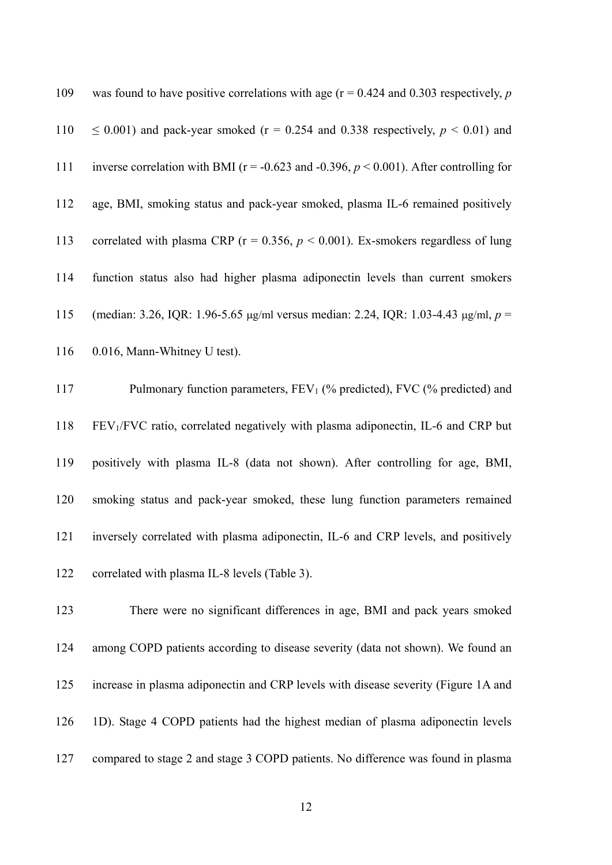| 109 | was found to have positive correlations with age ( $r = 0.424$ and 0.303 respectively, p        |
|-----|-------------------------------------------------------------------------------------------------|
| 110 | $\leq$ 0.001) and pack-year smoked (r = 0.254 and 0.338 respectively, $p < 0.01$ ) and          |
| 111 | inverse correlation with BMI ( $r = -0.623$ and $-0.396$ , $p < 0.001$ ). After controlling for |
| 112 | age, BMI, smoking status and pack-year smoked, plasma IL-6 remained positively                  |
| 113 | correlated with plasma CRP ( $r = 0.356$ , $p < 0.001$ ). Ex-smokers regardless of lung         |
| 114 | function status also had higher plasma adiponectin levels than current smokers                  |
| 115 | (median: 3.26, IQR: 1.96-5.65 $\mu$ g/ml versus median: 2.24, IQR: 1.03-4.43 $\mu$ g/ml, p =    |
| 116 | 0.016, Mann-Whitney U test).                                                                    |
| 117 | Pulmonary function parameters, $FEV_1$ (% predicted), FVC (% predicted) and                     |
| 118 | FEV <sub>1</sub> /FVC ratio, correlated negatively with plasma adiponectin, IL-6 and CRP but    |
| 119 | positively with plasma IL-8 (data not shown). After controlling for age, BMI,                   |
| 120 | smoking status and pack-year smoked, these lung function parameters remained                    |
| 121 | inversely correlated with plasma adiponectin, IL-6 and CRP levels, and positively               |
| 122 | correlated with plasma IL-8 levels (Table 3).                                                   |
| 123 | There were no significant differences in age, BMI and pack years smoked                         |
| 124 | among COPD patients according to disease severity (data not shown). We found an                 |
| 125 | increase in plasma adiponectin and CRP levels with disease severity (Figure 1A and              |

126 1D). Stage 4 COPD patients had the highest median of plasma adiponectin levels

127 compared to stage 2 and stage 3 COPD patients. No difference was found in plasma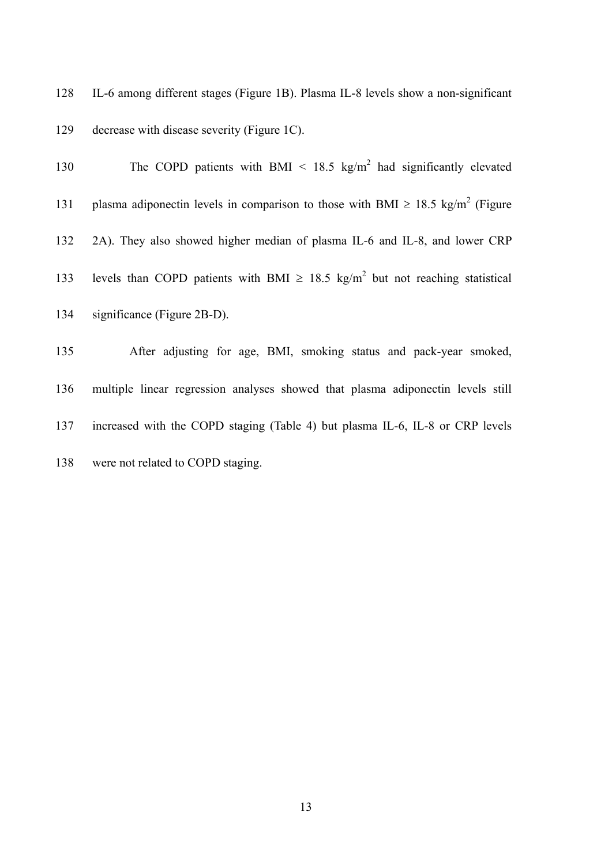128 129 IL-6 among different stages (Figure 1B). Plasma IL-8 levels show a non-significant decrease with disease severity (Figure 1C).

| 130 | The COPD patients with BMI $\leq$ 18.5 kg/m <sup>2</sup> had significantly elevated             |
|-----|-------------------------------------------------------------------------------------------------|
| 131 | plasma adiponectin levels in comparison to those with BMI $\geq$ 18.5 kg/m <sup>2</sup> (Figure |
| 132 | 2A). They also showed higher median of plasma IL-6 and IL-8, and lower CRP                      |
| 133 | levels than COPD patients with BMI $\geq$ 18.5 kg/m <sup>2</sup> but not reaching statistical   |
| 134 | significance (Figure 2B-D).                                                                     |
| 135 | After adjusting for age, BMI, smoking status and pack-year smoked,                              |
| 136 | multiple linear regression analyses showed that plasma adiponectin levels still                 |
| 137 | increased with the COPD staging (Table 4) but plasma IL-6, IL-8 or CRP levels                   |

138 were not related to COPD staging.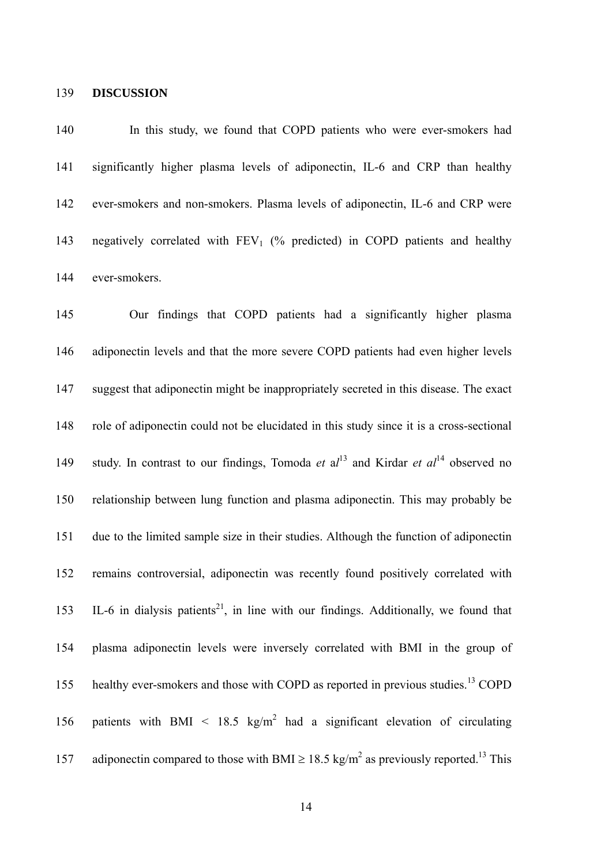#### 139 **DISCUSSION**

140 141 142 143 144 In this study, we found that COPD patients who were ever-smokers had significantly higher plasma levels of adiponectin, IL-6 and CRP than healthy ever-smokers and non-smokers. Plasma levels of adiponectin, IL-6 and CRP were negatively correlated with  $FEV_1$  (% predicted) in COPD patients and healthy ever-smokers.

145 146 147 148 149 150 151 152 153 154 155 156 157 Our findings that COPD patients had a significantly higher plasma adiponectin levels and that the more severe COPD patients had even higher levels suggest that adiponectin might be inappropriately secreted in this disease. The exact role of adiponectin could not be elucidated in this study since it is a cross-sectional study. In contrast to our findings, Tomoda *et* al<sup>13</sup> and Kirdar *et al*<sup>14</sup> observed no relationship between lung function and plasma adiponectin. This may probably be due to the limited sample size in their studies. Although the function of adiponectin remains controversial, adiponectin was recently found positively correlated with IL-6 in dialysis patients<sup>21</sup>, in line with our findings. Additionally, we found that plasma adiponectin levels were inversely correlated with BMI in the group of healthy ever-smokers and those with COPD as reported in previous studies.<sup>13</sup> COPD patients with BMI < 18.5 kg/m<sup>2</sup> had a significant elevation of circulating adiponectin compared to those with BMI  $\geq 18.5$  kg/m<sup>2</sup> as previously reported.<sup>13</sup> This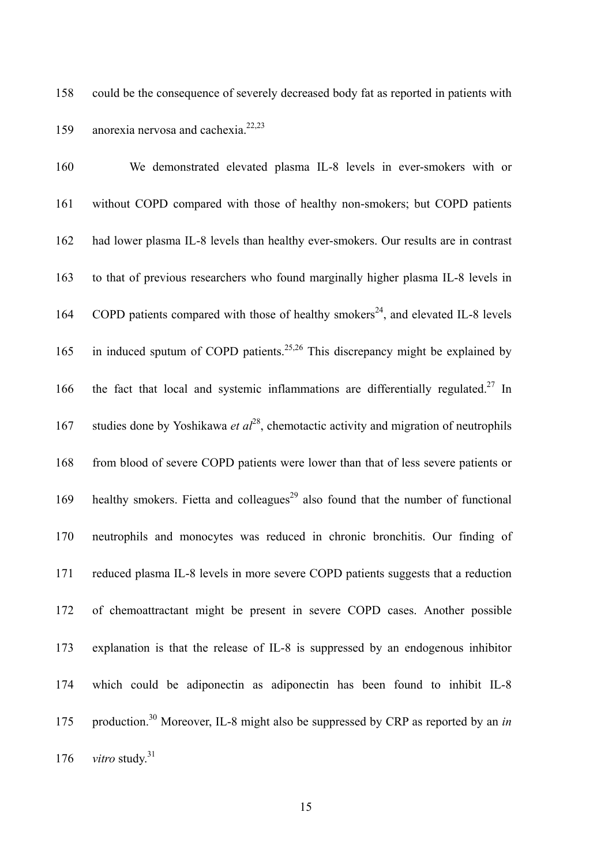could be the consequence of severely decreased body fat as reported in patients with anorexia nervosa and cachexia. 22,23 158 159

| 160 | We demonstrated elevated plasma IL-8 levels in ever-smokers with or                           |
|-----|-----------------------------------------------------------------------------------------------|
| 161 | without COPD compared with those of healthy non-smokers; but COPD patients                    |
| 162 | had lower plasma IL-8 levels than healthy ever-smokers. Our results are in contrast           |
| 163 | to that of previous researchers who found marginally higher plasma IL-8 levels in             |
| 164 | COPD patients compared with those of healthy smokers <sup>24</sup> , and elevated IL-8 levels |
| 165 | in induced sputum of COPD patients. <sup>25,26</sup> This discrepancy might be explained by   |
| 166 | the fact that local and systemic inflammations are differentially regulated. <sup>27</sup> In |
| 167 | studies done by Yoshikawa et $al^{28}$ , chemotactic activity and migration of neutrophils    |
| 168 | from blood of severe COPD patients were lower than that of less severe patients or            |
| 169 | healthy smokers. Fietta and colleagues <sup>29</sup> also found that the number of functional |
| 170 | neutrophils and monocytes was reduced in chronic bronchitis. Our finding of                   |
| 171 | reduced plasma IL-8 levels in more severe COPD patients suggests that a reduction             |
| 172 | of chemoattractant might be present in severe COPD cases. Another possible                    |
| 173 | explanation is that the release of IL-8 is suppressed by an endogenous inhibitor              |
| 174 | which could be adiponectin as adiponectin has been found to inhibit IL-8                      |
| 175 | production. <sup>30</sup> Moreover, IL-8 might also be suppressed by CRP as reported by an in |
| 176 | <i>vitro</i> study. <sup>31</sup>                                                             |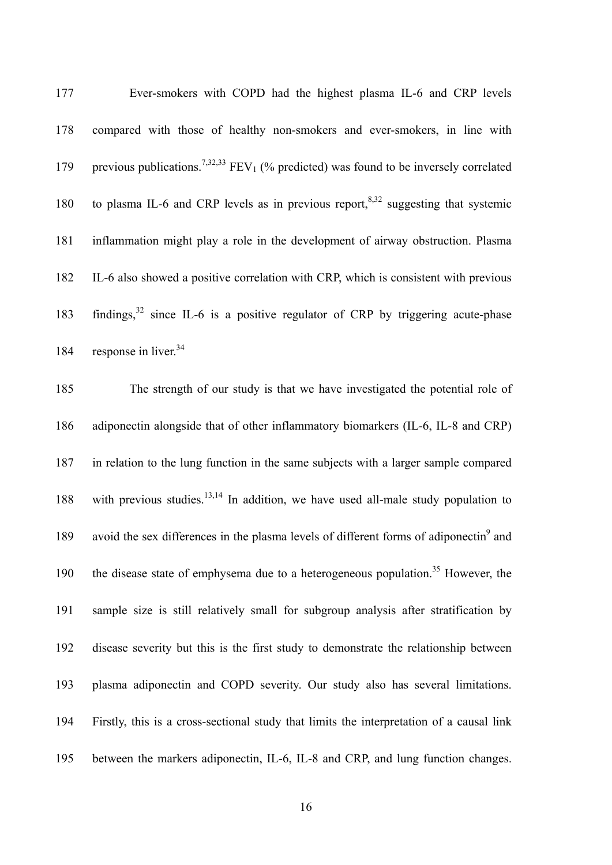| 177 | Ever-smokers with COPD had the highest plasma IL-6 and CRP levels                                                 |
|-----|-------------------------------------------------------------------------------------------------------------------|
|     | 178 compared with those of healthy non-smokers and ever-smokers, in line with                                     |
|     | 179 previous publications. <sup>7,32,33</sup> FEV <sub>1</sub> (% predicted) was found to be inversely correlated |
| 180 | to plasma IL-6 and CRP levels as in previous report, $8.32$ suggesting that systemic                              |
| 181 | inflammation might play a role in the development of airway obstruction. Plasma                                   |
| 182 | IL-6 also showed a positive correlation with CRP, which is consistent with previous                               |
| 183 | findings, $32$ since IL-6 is a positive regulator of CRP by triggering acute-phase                                |
|     | 184 response in liver. <sup>34</sup>                                                                              |

185 186 187 188 189 190 191 192 193 194 195 The strength of our study is that we have investigated the potential role of adiponectin alongside that of other inflammatory biomarkers (IL-6, IL-8 and CRP) in relation to the lung function in the same subjects with a larger sample compared with previous studies. $13,14$  In addition, we have used all-male study population to avoid the sex differences in the plasma levels of different forms of adiponectin $\alpha$ <sup>9</sup> and the disease state of emphysema due to a heterogeneous population.<sup>35</sup> However, the sample size is still relatively small for subgroup analysis after stratification by disease severity but this is the first study to demonstrate the relationship between plasma adiponectin and COPD severity. Our study also has several limitations. Firstly, this is a cross-sectional study that limits the interpretation of a causal link between the markers adiponectin, IL-6, IL-8 and CRP, and lung function changes.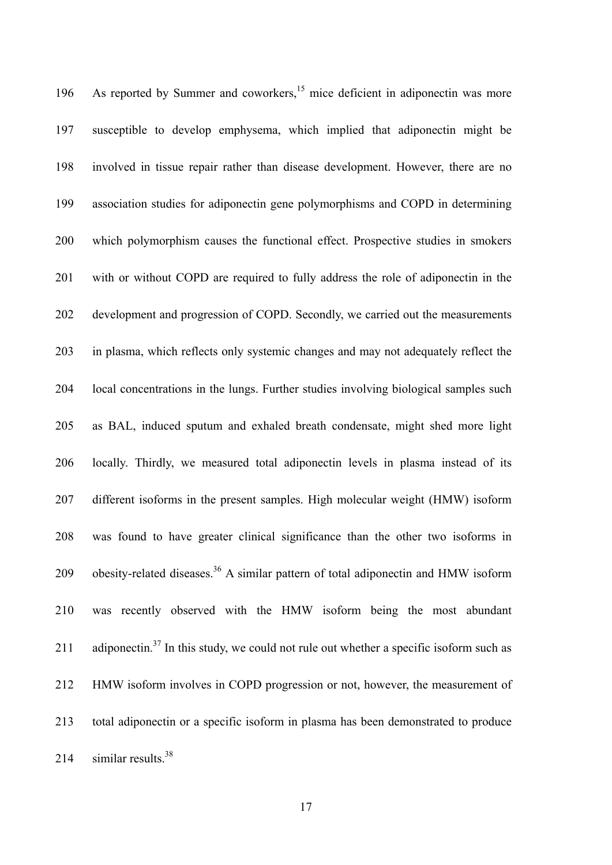As reported by Summer and coworkers, $15$  mice deficient in adiponectin was more susceptible to develop emphysema, which implied that adiponectin might be involved in tissue repair rather than disease development. However, there are no association studies for adiponectin gene polymorphisms and COPD in determining which polymorphism causes the functional effect. Prospective studies in smokers with or without COPD are required to fully address the role of adiponectin in the development and progression of COPD. Secondly, we carried out the measurements in plasma, which reflects only systemic changes and may not adequately reflect the local concentrations in the lungs. Further studies involving biological samples such as BAL, induced sputum and exhaled breath condensate, might shed more light locally. Thirdly, we measured total adiponectin levels in plasma instead of its different isoforms in the present samples. High molecular weight (HMW) isoform was found to have greater clinical significance than the other two isoforms in obesity-related diseases.<sup>36</sup> A similar pattern of total adiponectin and HMW isoform 196 197 198 199 200 201 202 203 204 205 206 207 208 209 210 211 212 213 214 was recently observed with the HMW isoform being the most abundant adiponectin.<sup>37</sup> In this study, we could not rule out whether a specific isoform such as HMW isoform involves in COPD progression or not, however, the measurement of total adiponectin or a specific isoform in plasma has been demonstrated to produce similar results. $38$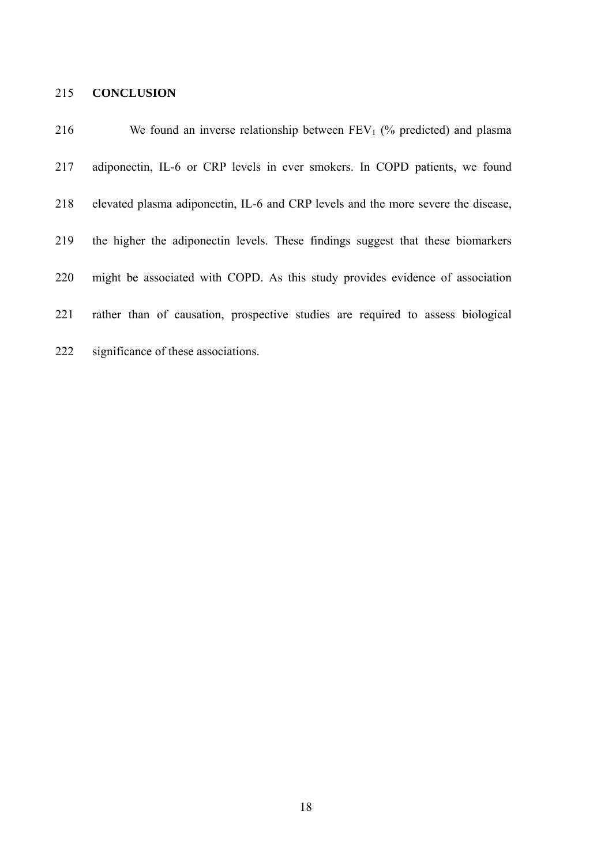# 215 **CONCLUSION**

| 216 | We found an inverse relationship between $FEV_1$ (% predicted) and plasma         |
|-----|-----------------------------------------------------------------------------------|
| 217 | adiponectin, IL-6 or CRP levels in ever smokers. In COPD patients, we found       |
| 218 | elevated plasma adiponectin, IL-6 and CRP levels and the more severe the disease, |
| 219 | the higher the adiponectin levels. These findings suggest that these biomarkers   |
| 220 | might be associated with COPD. As this study provides evidence of association     |
| 221 | rather than of causation, prospective studies are required to assess biological   |
| 222 | significance of these associations.                                               |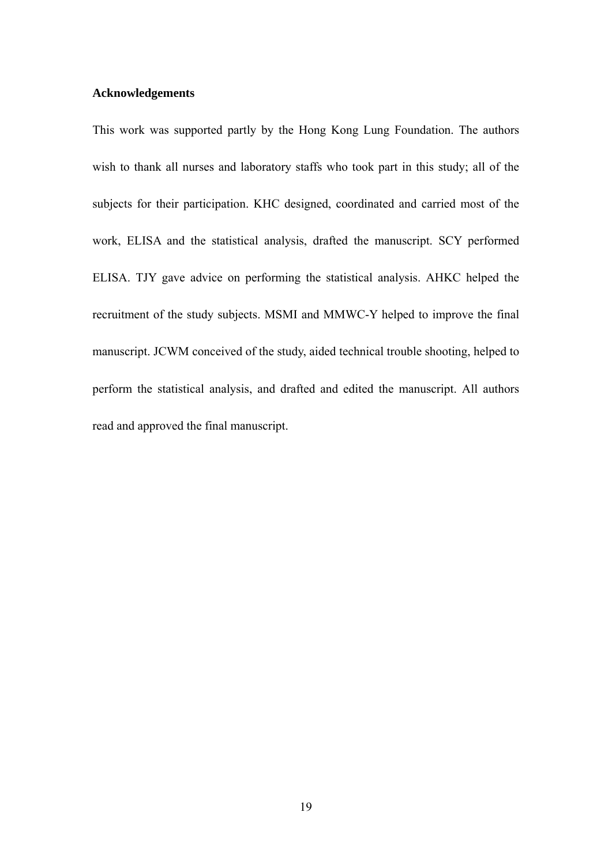#### **Acknowledgements**

This work was supported partly by the Hong Kong Lung Foundation. The authors wish to thank all nurses and laboratory staffs who took part in this study; all of the subjects for their participation. KHC designed, coordinated and carried most of the work, ELISA and the statistical analysis, drafted the manuscript. SCY performed ELISA. TJY gave advice on performing the statistical analysis. AHKC helped the recruitment of the study subjects. MSMI and MMWC-Y helped to improve the final manuscript. JCWM conceived of the study, aided technical trouble shooting, helped to perform the statistical analysis, and drafted and edited the manuscript. All authors read and approved the final manuscript.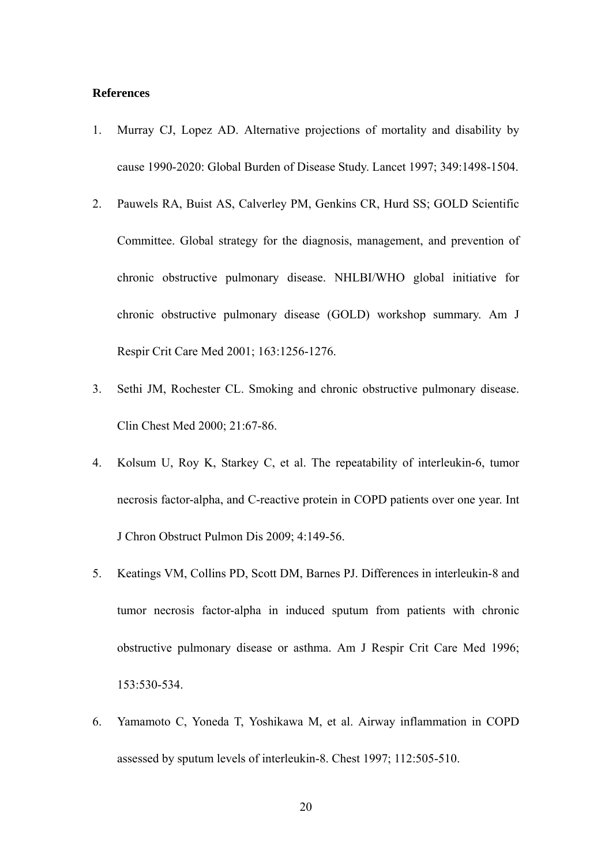#### **References**

- 1. Murray CJ, Lopez AD. Alternative projections of mortality and disability by cause 1990-2020: Global Burden of Disease Study. Lancet 1997; 349:1498-1504.
- 2. Pauwels RA, Buist AS, Calverley PM, Genkins CR, Hurd SS; GOLD Scientific Committee. Global strategy for the diagnosis, management, and prevention of chronic obstructive pulmonary disease. NHLBI/WHO global initiative for chronic obstructive pulmonary disease (GOLD) workshop summary. Am J Respir Crit Care Med 2001; 163:1256-1276.
- 3. Sethi JM, Rochester CL. Smoking and chronic obstructive pulmonary disease. Clin Chest Med 2000; 21:67-86.
- 4. Kolsum U, Roy K, Starkey C, et al. The repeatability of interleukin-6, tumor necrosis factor-alpha, and C-reactive protein in COPD patients over one year. Int J Chron Obstruct Pulmon Dis 2009; 4:149-56.
- 5. Keatings VM, Collins PD, Scott DM, Barnes PJ. Differences in interleukin-8 and tumor necrosis factor-alpha in induced sputum from patients with chronic obstructive pulmonary disease or asthma. Am J Respir Crit Care Med 1996; 153:530-534.
- 6. Yamamoto C, Yoneda T, Yoshikawa M, et al. Airway inflammation in COPD assessed by sputum levels of interleukin-8. Chest 1997; 112:505-510.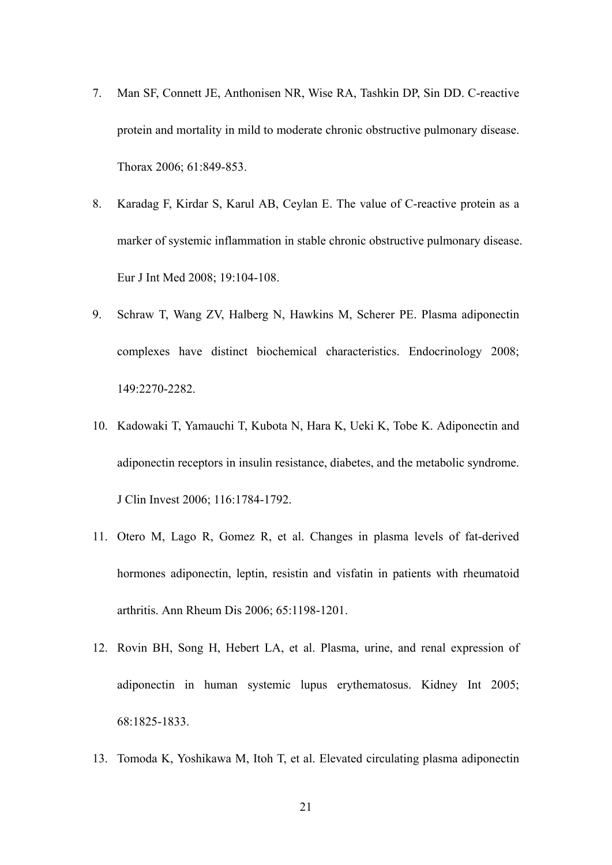- 7. Man SF, Connett JE, Anthonisen NR, Wise RA, Tashkin DP, Sin DD. C-reactive protein and mortality in mild to moderate chronic obstructive pulmonary disease. Thorax 2006; 61:849-853.
- 8. Karadag F, Kirdar S, Karul AB, Ceylan E. The value of C-reactive protein as a marker of systemic inflammation in stable chronic obstructive pulmonary disease. Eur J Int Med 2008; 19:104-108.
- 9. Schraw T, Wang ZV, Halberg N, Hawkins M, Scherer PE. Plasma adiponectin complexes have distinct biochemical characteristics. Endocrinology 2008; 149:2270-2282.
- 10. Kadowaki T, Yamauchi T, Kubota N, Hara K, Ueki K, Tobe K. Adiponectin and adiponectin receptors in insulin resistance, diabetes, and the metabolic syndrome. J Clin Invest 2006; 116:1784-1792.
- 11. Otero M, Lago R, Gomez R, et al. Changes in plasma levels of fat-derived hormones adiponectin, leptin, resistin and visfatin in patients with rheumatoid arthritis. Ann Rheum Dis 2006; 65:1198-1201.
- 12. Rovin BH, Song H, Hebert LA, et al. Plasma, urine, and renal expression of adiponectin in human systemic lupus erythematosus. Kidney Int 2005; 68:1825-1833.
- 13. Tomoda K, Yoshikawa M, Itoh T, et al. Elevated circulating plasma adiponectin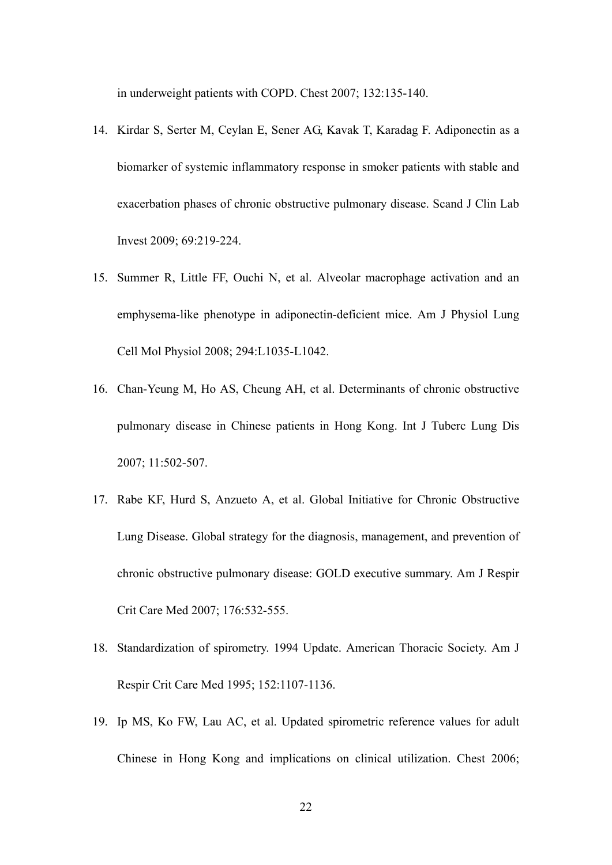in underweight patients with COPD. Chest 2007; 132:135-140.

- 14. Kirdar S, Serter M, Ceylan E, Sener AG, Kavak T, Karadag F. Adiponectin as a biomarker of systemic inflammatory response in smoker patients with stable and exacerbation phases of chronic obstructive pulmonary disease. Scand J Clin Lab Invest 2009; 69:219-224.
- 15. Summer R, Little FF, Ouchi N, et al. Alveolar macrophage activation and an emphysema-like phenotype in adiponectin-deficient mice. Am J Physiol Lung Cell Mol Physiol 2008; 294:L1035-L1042.
- 16. Chan-Yeung M, Ho AS, Cheung AH, et al. Determinants of chronic obstructive pulmonary disease in Chinese patients in Hong Kong. Int J Tuberc Lung Dis 2007; 11:502-507.
- 17. Rabe KF, Hurd S, Anzueto A, et al. Global Initiative for Chronic Obstructive Lung Disease. Global strategy for the diagnosis, management, and prevention of chronic obstructive pulmonary disease: GOLD executive summary. Am J Respir Crit Care Med 2007; 176:532-555.
- 18. Standardization of spirometry. 1994 Update. American Thoracic Society. Am J Respir Crit Care Med 1995; 152:1107-1136.
- 19. Ip MS, Ko FW, Lau AC, et al. Updated spirometric reference values for adult Chinese in Hong Kong and implications on clinical utilization. Chest 2006;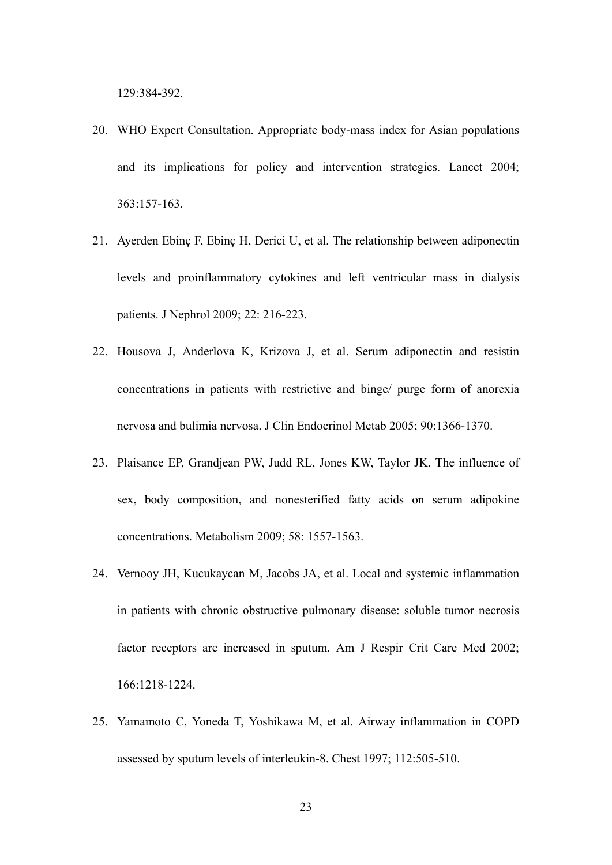129:384-392.

- 20. WHO Expert Consultation. Appropriate body-mass index for Asian populations and its implications for policy and intervention strategies. Lancet 2004; 363:157-163.
- 21. Ayerden Ebinç F, Ebinç H, Derici U, et al. The relationship between adiponectin levels and proinflammatory cytokines and left ventricular mass in dialysis patients. J Nephrol 2009; 22: 216-223.
- 22. Housova J, Anderlova K, Krizova J, et al. Serum adiponectin and resistin concentrations in patients with restrictive and binge/ purge form of anorexia nervosa and bulimia nervosa. J Clin Endocrinol Metab 2005; 90:1366-1370.
- 23. Plaisance EP, Grandjean PW, Judd RL, Jones KW, Taylor JK. The influence of sex, body composition, and nonesterified fatty acids on serum adipokine concentrations. Metabolism 2009; 58: 1557-1563.
- 24. Vernooy JH, Kucukaycan M, Jacobs JA, et al. Local and systemic inflammation in patients with chronic obstructive pulmonary disease: soluble tumor necrosis factor receptors are increased in sputum. Am J Respir Crit Care Med 2002; 166:1218-1224.
- 25. Yamamoto C, Yoneda T, Yoshikawa M, et al. Airway inflammation in COPD assessed by sputum levels of interleukin-8. Chest 1997; 112:505-510.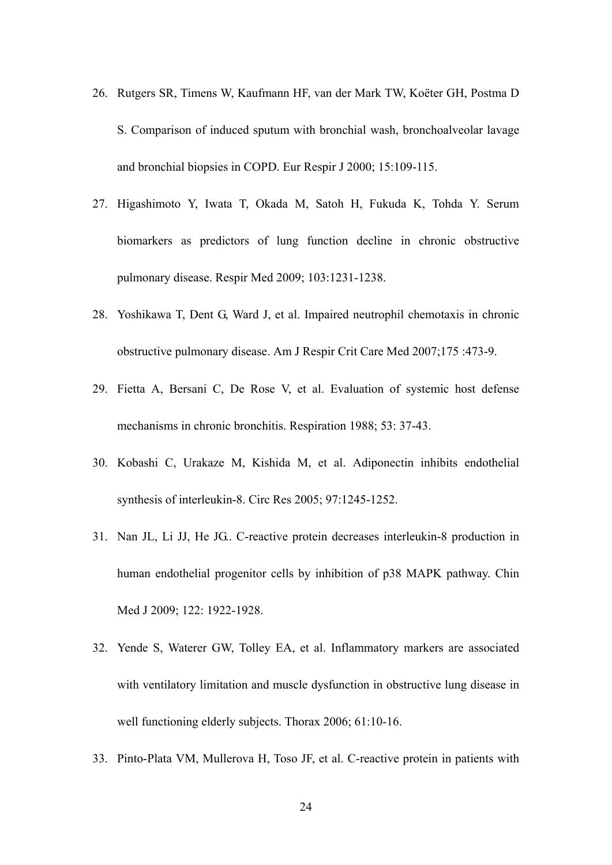- 26. Rutgers SR, Timens W, Kaufmann HF, van der Mark TW, Koëter GH, Postma D S. Comparison of induced sputum with bronchial wash, bronchoalveolar lavage and bronchial biopsies in COPD. Eur Respir J 2000; 15:109-115.
- 27. Higashimoto Y, Iwata T, Okada M, Satoh H, Fukuda K, Tohda Y. Serum biomarkers as predictors of lung function decline in chronic obstructive pulmonary disease. Respir Med 2009; 103:1231-1238.
- 28. Yoshikawa T, Dent G, Ward J, et al. Impaired neutrophil chemotaxis in chronic obstructive pulmonary disease. Am J Respir Crit Care Med 2007;175 :473-9.
- 29. Fietta A, Bersani C, De Rose V, et al. Evaluation of systemic host defense mechanisms in chronic bronchitis. Respiration 1988; 53: 37-43.
- 30. Kobashi C, Urakaze M, Kishida M, et al. Adiponectin inhibits endothelial synthesis of interleukin-8. Circ Res 2005; 97:1245-1252.
- 31. Nan JL, Li JJ, He JG.. C-reactive protein decreases interleukin-8 production in human endothelial progenitor cells by inhibition of p38 MAPK pathway. Chin Med J 2009; 122: 1922-1928.
- 32. Yende S, Waterer GW, Tolley EA, et al. Inflammatory markers are associated with ventilatory limitation and muscle dysfunction in obstructive lung disease in well functioning elderly subjects. Thorax 2006; 61:10-16.
- 33. Pinto-Plata VM, Mullerova H, Toso JF, et al. C-reactive protein in patients with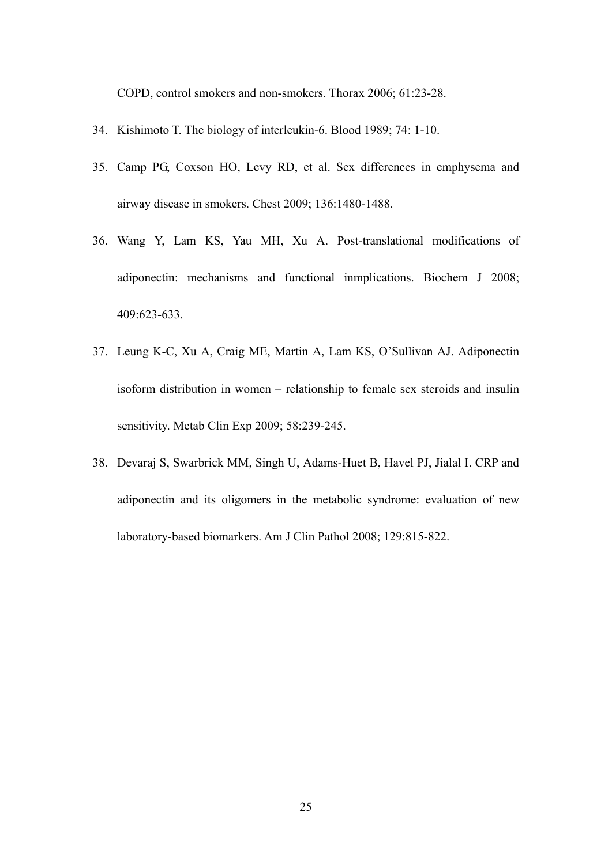COPD, control smokers and non-smokers. Thorax 2006; 61:23-28.

- 34. Kishimoto T. The biology of interleukin-6. Blood 1989; 74: 1-10.
- 35. Camp PG, Coxson HO, Levy RD, et al. Sex differences in emphysema and airway disease in smokers. Chest 2009; 136:1480-1488.
- 36. Wang Y, Lam KS, Yau MH, Xu A. Post-translational modifications of adiponectin: mechanisms and functional inmplications. Biochem J 2008; 409:623-633.
- 37. Leung K-C, Xu A, Craig ME, Martin A, Lam KS, O'Sullivan AJ. Adiponectin isoform distribution in women – relationship to female sex steroids and insulin sensitivity. Metab Clin Exp 2009; 58:239-245.
- 38. Devaraj S, Swarbrick MM, Singh U, Adams-Huet B, Havel PJ, Jialal I. CRP and adiponectin and its oligomers in the metabolic syndrome: evaluation of new laboratory-based biomarkers. Am J Clin Pathol 2008; 129:815-822.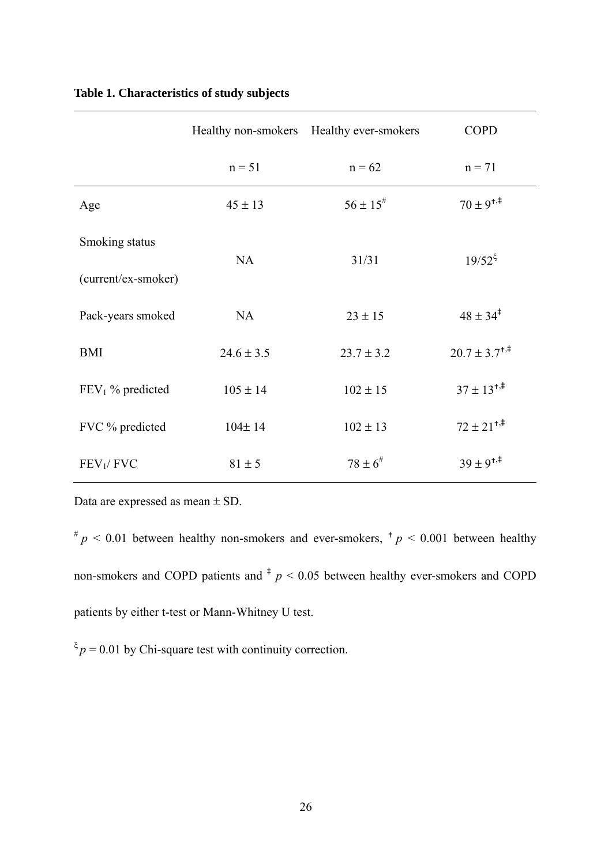|                       |                | Healthy non-smokers Healthy ever-smokers | <b>COPD</b>                       |  |  |
|-----------------------|----------------|------------------------------------------|-----------------------------------|--|--|
|                       | $n = 51$       | $n = 62$                                 | $n = 71$                          |  |  |
| Age                   | $45 \pm 13$    | $56 \pm 15^{#}$                          | $70 \pm 9^{+,1}$                  |  |  |
| Smoking status        | NA             | 31/31                                    | $19/52^{\xi}$                     |  |  |
| (current/ex-smoker)   |                |                                          |                                   |  |  |
| Pack-years smoked     | NA             | $23 \pm 15$                              | $48 \pm 34^{\ddagger}$            |  |  |
| <b>BMI</b>            | $24.6 \pm 3.5$ | $23.7 \pm 3.2$                           | $20.7 \pm 3.7^{\dagger,\ddagger}$ |  |  |
| $FEV1$ % predicted    | $105 \pm 14$   | $102 \pm 15$                             | $37 \pm 13^{+,}$                  |  |  |
| FVC % predicted       | $104 \pm 14$   | $102 \pm 13$                             | $72 \pm 21^{+,1}$                 |  |  |
| FEV <sub>1</sub> /FVC | $81 \pm 5$     | $78 \pm 6^{\#}$                          | $39 \pm 9^{+,1}$                  |  |  |

## **Table 1. Characteristics of study subjects**

Data are expressed as mean ± SD.

 $^{#}p$  < 0.01 between healthy non-smokers and ever-smokers,  $^{+}p$  < 0.001 between healthy non-smokers and COPD patients and  $\frac{1}{p}$  < 0.05 between healthy ever-smokers and COPD patients by either t-test or Mann-Whitney U test.

 $\zeta_p = 0.01$  by Chi-square test with continuity correction.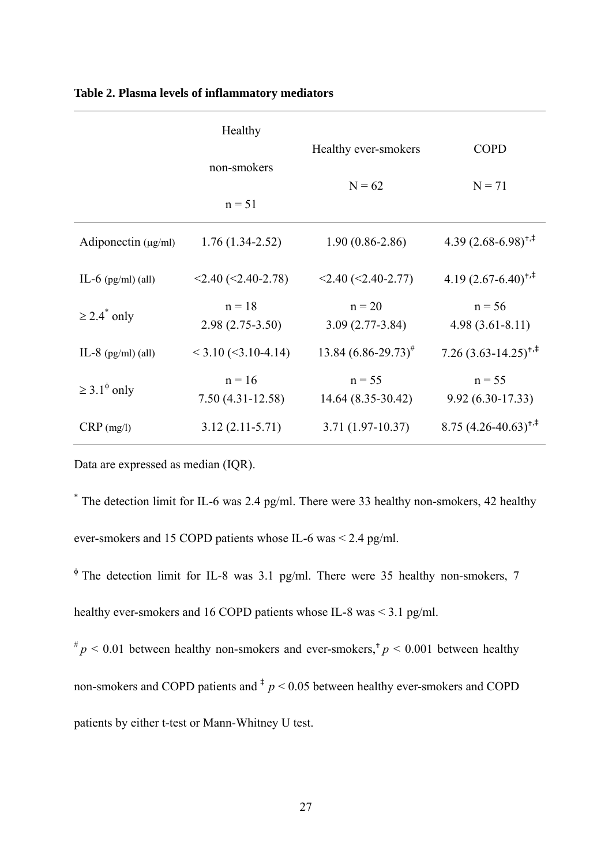|                              | Healthy                        |                                |                                 |  |  |
|------------------------------|--------------------------------|--------------------------------|---------------------------------|--|--|
|                              | non-smokers                    | Healthy ever-smokers           | <b>COPD</b><br>$N = 71$         |  |  |
|                              | $n = 51$                       | $N = 62$                       |                                 |  |  |
| Adiponectin $(\mu g/ml)$     | $1.76(1.34-2.52)$              | $1.90(0.86-2.86)$              | 4.39 $(2.68-6.98)^{+,}$         |  |  |
| IL-6 $(pg/ml)$ (all)         | $<$ 2.40 ( $<$ 2.40-2.78)      | $<$ 2.40 $(<$ 2.40-2.77)       | $4.19(2.67 - 6.40)^{+,}$        |  |  |
| $\geq$ 2.4 <sup>*</sup> only | $n = 18$<br>$2.98(2.75-3.50)$  | $n = 20$<br>$3.09(2.77-3.84)$  | $n = 56$<br>$4.98(3.61 - 8.11)$ |  |  |
| IL-8 $(pg/ml)$ (all)         | $<$ 3.10 ( $<$ 3.10-4.14)      | $13.84 (6.86 - 29.73)^{\#}$    | $7.26(3.63 - 14.25)^{+/-}$      |  |  |
| $\geq 3.1^{\phi}$ only       | $n = 16$<br>$7.50(4.31-12.58)$ | $n = 55$<br>14.64 (8.35-30.42) | $n = 55$<br>$9.92(6.30-17.33)$  |  |  |
| $CRP$ (mg/l)                 | $3.12(2.11-5.71)$              | $3.71(1.97-10.37)$             | $8.75(4.26-40.63)^{+,}$         |  |  |

#### **Table 2. Plasma levels of inflammatory mediators**

Data are expressed as median (IQR).

\* The detection limit for IL-6 was 2.4 pg/ml. There were 33 healthy non-smokers, 42 healthy ever-smokers and 15 COPD patients whose IL-6 was < 2.4 pg/ml.

<sup>φ</sup> The detection limit for IL-8 was 3.1 pg/ml. There were 35 healthy non-smokers, 7 healthy ever-smokers and 16 COPD patients whose IL-8 was < 3.1 pg/ml.

 $\pi^* p$  < 0.01 between healthy non-smokers and ever-smokers,<sup>†</sup>  $p$  < 0.001 between healthy non-smokers and COPD patients and  $\frac{1}{p}$   $\leq$  0.05 between healthy ever-smokers and COPD patients by either t-test or Mann-Whitney U test.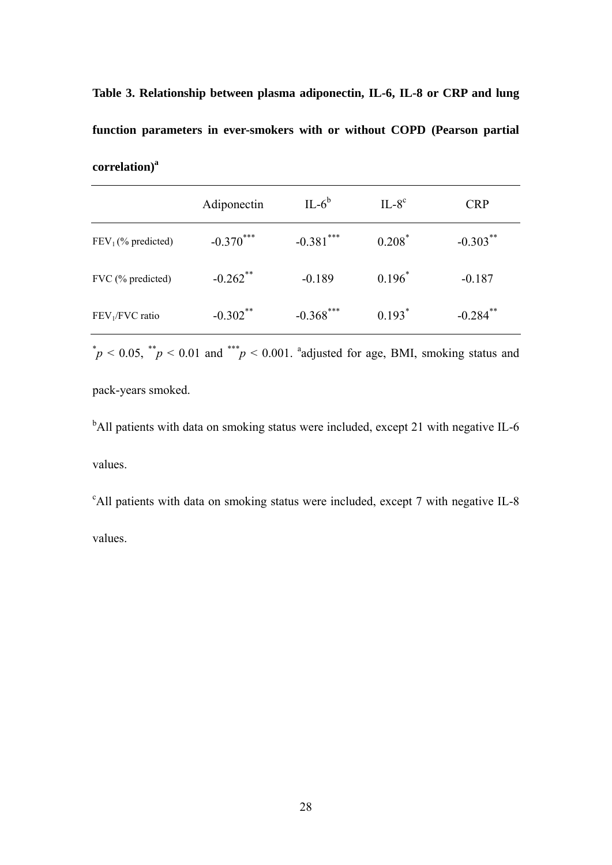**Table 3. Relationship between plasma adiponectin, IL-6, IL-8 or CRP and lung function parameters in ever-smokers with or without COPD (Pearson partial**  correlation)<sup>a</sup>

|                      | Adiponectin            | $IL-6b$      | $IL-8c$   | <b>CRP</b>             |
|----------------------|------------------------|--------------|-----------|------------------------|
| $FEV1(\% predicted)$ | $-0.370***$            | $-0.381$ *** | $0.208^*$ | $-0.303***$            |
| FVC (% predicted)    | $-0.262$ <sup>**</sup> | $-0.189$     | $0.196^*$ | $-0.187$               |
| $FEV1/FVC$ ratio     | $-0.302$ **            | $-0.368$ *** | $0.193*$  | $-0.284$ <sup>**</sup> |

 $p^*$   $p$  < 0.05,  $p^*$   $p$  < 0.01 and  $p^*$   $p$  < 0.001. adjusted for age, BMI, smoking status and

pack-years smoked.

<sup>b</sup>All patients with data on smoking status were included, except 21 with negative IL-6 values.

<sup>c</sup>All patients with data on smoking status were included, except 7 with negative IL-8 values.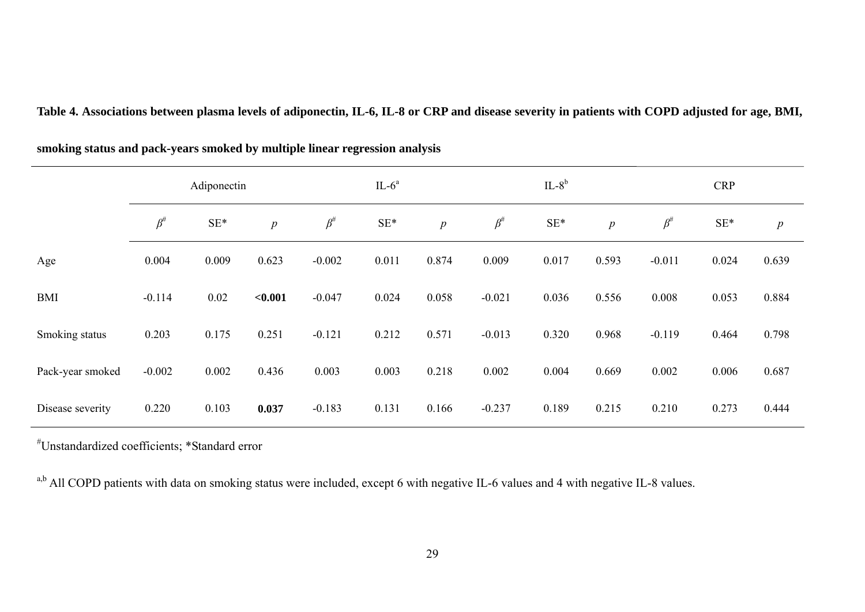|                  | Adiponectin |                 |         | $IL-6a$    |                 |                  | $IL-8b$    |                 |                  | <b>CRP</b> |                 |                  |
|------------------|-------------|-----------------|---------|------------|-----------------|------------------|------------|-----------------|------------------|------------|-----------------|------------------|
|                  | $\beta^\#$  | $\mathrm{SE}^*$ | p       | $\beta^\#$ | $\mathrm{SE}^*$ | $\boldsymbol{p}$ | $\beta^\#$ | $\mathrm{SE}^*$ | $\boldsymbol{p}$ | $\beta^\#$ | $\mathrm{SE}^*$ | $\boldsymbol{p}$ |
| Age              | 0.004       | 0.009           | 0.623   | $-0.002$   | 0.011           | 0.874            | 0.009      | 0.017           | 0.593            | $-0.011$   | 0.024           | 0.639            |
| <b>BMI</b>       | $-0.114$    | 0.02            | < 0.001 | $-0.047$   | 0.024           | 0.058            | $-0.021$   | 0.036           | 0.556            | 0.008      | 0.053           | 0.884            |
| Smoking status   | 0.203       | 0.175           | 0.251   | $-0.121$   | 0.212           | 0.571            | $-0.013$   | 0.320           | 0.968            | $-0.119$   | 0.464           | 0.798            |
| Pack-year smoked | $-0.002$    | 0.002           | 0.436   | 0.003      | 0.003           | 0.218            | 0.002      | 0.004           | 0.669            | 0.002      | 0.006           | 0.687            |
| Disease severity | 0.220       | 0.103           | 0.037   | $-0.183$   | 0.131           | 0.166            | $-0.237$   | 0.189           | 0.215            | 0.210      | 0.273           | 0.444            |

**Table 4. Associations between plasma levels of adiponectin, IL-6, IL-8 or CRP and disease severity in patients with COPD adjusted for age, BMI,** 

**smoking status and pack-years smoked by multiple linear regression analysis** 

#Unstandardized coefficients; \*Standard error

a,b All COPD patients with data on smoking status were included, except 6 with negative IL-6 values and 4 with negative IL-8 values.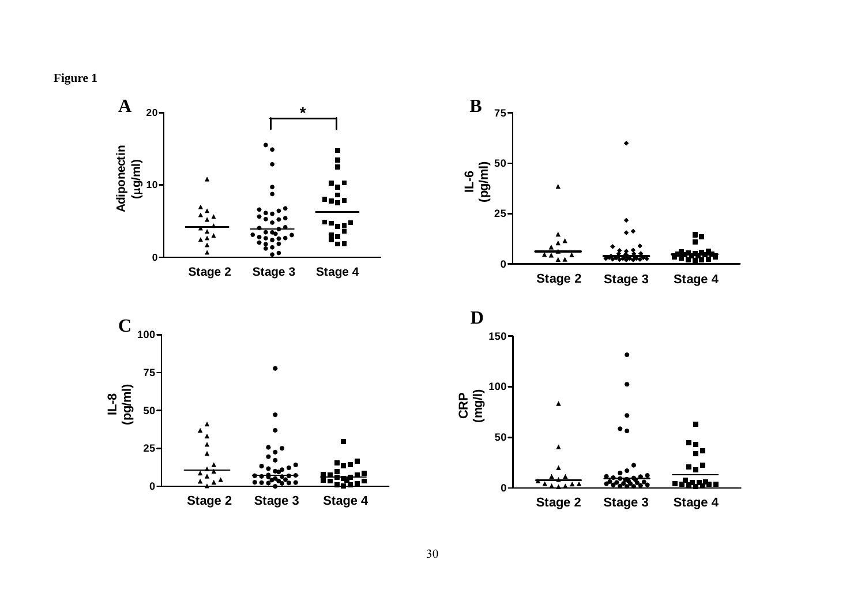**Figure 1** 

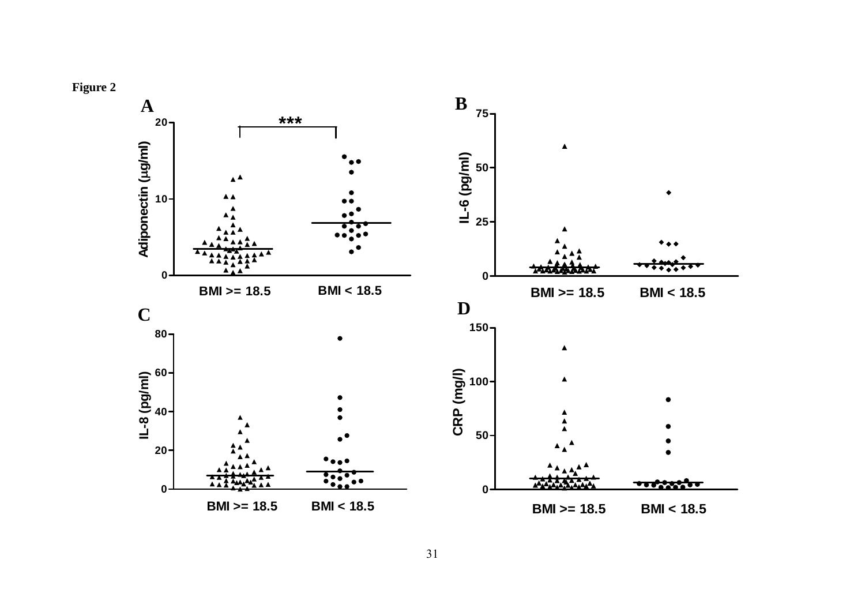

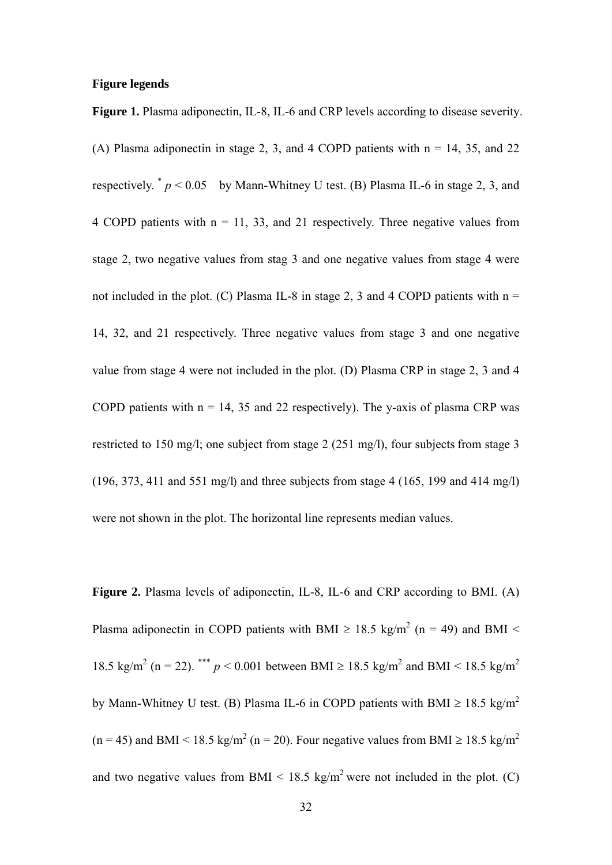#### **Figure legends**

**Figure 1.** Plasma adiponectin, IL-8, IL-6 and CRP levels according to disease severity.

(A) Plasma adiponectin in stage 2, 3, and 4 COPD patients with  $n = 14$ , 35, and 22 respectively.  $p < 0.05$  by Mann-Whitney U test. (B) Plasma IL-6 in stage 2, 3, and 4 COPD patients with  $n = 11, 33,$  and 21 respectively. Three negative values from stage 2, two negative values from stag 3 and one negative values from stage 4 were not included in the plot. (C) Plasma IL-8 in stage 2, 3 and 4 COPD patients with  $n =$ 14, 32, and 21 respectively. Three negative values from stage 3 and one negative value from stage 4 were not included in the plot. (D) Plasma CRP in stage 2, 3 and 4 COPD patients with  $n = 14$ , 35 and 22 respectively). The y-axis of plasma CRP was restricted to 150 mg/l; one subject from stage 2 (251 mg/l), four subjects from stage 3 (196, 373, 411 and 551 mg/l) and three subjects from stage 4 (165, 199 and 414 mg/l) were not shown in the plot. The horizontal line represents median values.

**Figure 2.** Plasma levels of adiponectin, IL-8, IL-6 and CRP according to BMI. (A) Plasma adiponectin in COPD patients with BMI  $\geq$  18.5 kg/m<sup>2</sup> (n = 49) and BMI < 18.5 kg/m<sup>2</sup> (n = 22). \*\*\* *p* < 0.001 between BMI  $\ge$  18.5 kg/m<sup>2</sup> and BMI < 18.5 kg/m<sup>2</sup> by Mann-Whitney U test. (B) Plasma IL-6 in COPD patients with BMI  $\geq 18.5 \text{ kg/m}^2$  $(n = 45)$  and BMI < 18.5 kg/m<sup>2</sup> (n = 20). Four negative values from BMI  $\geq 18.5$  kg/m<sup>2</sup> and two negative values from BMI  $\leq 18.5 \text{ kg/m}^2$  were not included in the plot. (C)